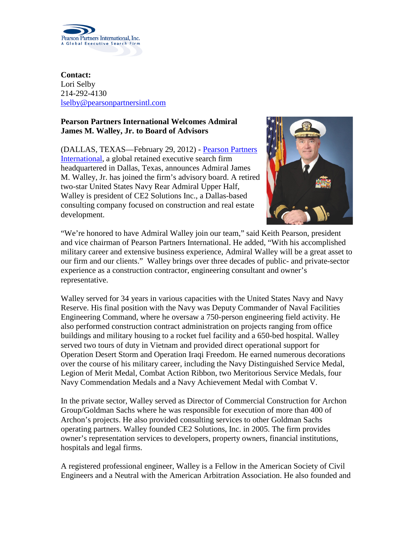

**Contact:** Lori Selby 214-292-4130 [lselby@pearsonpartnersintl.com](mailto:lselby@pearsonpartnersintl.com)

## **Pearson Partners International Welcomes Admiral James M. Walley, Jr. to Board of Advisors**

(DALLAS, TEXAS—February 29, 2012) - [Pearson Partners](http://www.pearsonpartnersintl.com/)  [International,](http://www.pearsonpartnersintl.com/) a global retained executive search firm headquartered in Dallas, Texas, announces Admiral James M. Walley, Jr. has joined the firm's advisory board. A retired two-star United States Navy Rear Admiral Upper Half, Walley is president of CE2 Solutions Inc., a Dallas-based consulting company focused on construction and real estate development.



"We're honored to have Admiral Walley join our team," said Keith Pearson, president and vice chairman of Pearson Partners International. He added, "With his accomplished military career and extensive business experience, Admiral Walley will be a great asset to our firm and our clients." Walley brings over three decades of public- and private-sector experience as a construction contractor, engineering consultant and owner's representative.

Walley served for 34 years in various capacities with the United States Navy and Navy Reserve. His final position with the Navy was Deputy Commander of Naval Facilities Engineering Command, where he oversaw a 750-person engineering field activity. He also performed construction contract administration on projects ranging from office buildings and military housing to a rocket fuel facility and a 650-bed hospital. Walley served two tours of duty in Vietnam and provided direct operational support for Operation Desert Storm and Operation Iraqi Freedom. He earned numerous decorations over the course of his military career, including the Navy Distinguished Service Medal, Legion of Merit Medal, Combat Action Ribbon, two Meritorious Service Medals, four Navy Commendation Medals and a Navy Achievement Medal with Combat V.

In the private sector, Walley served as Director of Commercial Construction for Archon Group/Goldman Sachs where he was responsible for execution of more than 400 of Archon's projects. He also provided consulting services to other Goldman Sachs operating partners. Walley founded CE2 Solutions, Inc. in 2005. The firm provides owner's representation services to developers, property owners, financial institutions, hospitals and legal firms.

A registered professional engineer, Walley is a Fellow in the American Society of Civil Engineers and a Neutral with the American Arbitration Association. He also founded and